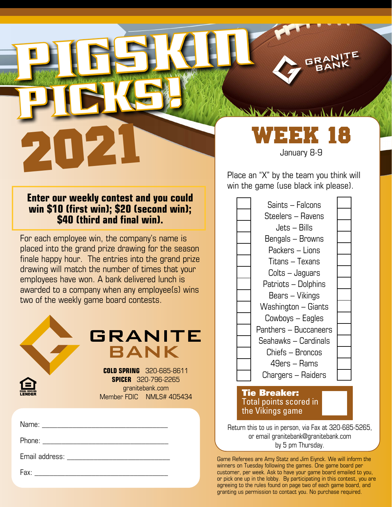**Enter our weekly contest and you could win \$10 (first win); \$20 (second win); \$40 (third and final win).**

PICKG!

PIGSKING

For each employee win, the company's name is placed into the grand prize drawing for the season finale happy hour. The entries into the grand prize drawing will match the number of times that your employees have won. A bank delivered lunch is awarded to a company when any employee(s) wins two of the weekly game board contests.

|                                                                                                                                                                                                                               | <b>GRANITE</b><br><b>BANK</b><br><b>COLD SPRING 320-685-8611</b><br><b>SPICER</b> 320-796-2265<br>granitebank.com<br>Member FDIC NMLS# 405434 |
|-------------------------------------------------------------------------------------------------------------------------------------------------------------------------------------------------------------------------------|-----------------------------------------------------------------------------------------------------------------------------------------------|
| Name: will be a series of the series of the series of the series of the series of the series of the series of the series of the series of the series of the series of the series of the series of the series of the series of |                                                                                                                                               |
| Phone: _____________________                                                                                                                                                                                                  |                                                                                                                                               |
| Email address:                                                                                                                                                                                                                |                                                                                                                                               |
| Fax: Exercise of the state of the state of the state of the state of the state of the state of the state of the state of the state of the state of the state of the state of the state of the state of the state of the state |                                                                                                                                               |

PLACEK 18 WEEK 18 January 8-9

the more were and in the fact of

RANI

win the game (use black ink please).

| Saints - Falcons      |  |
|-----------------------|--|
| Steelers – Ravens     |  |
| Jets – Bills          |  |
| Bengals – Browns      |  |
| Packers – Lions       |  |
| Titans – Texans       |  |
| Colts – Jaguars       |  |
| Patriots - Dolphins   |  |
| Bears – Vikings       |  |
| Washington - Giants   |  |
| Cowboys – Eagles      |  |
| Panthers - Buccaneers |  |
| Seahawks - Cardinals  |  |
| Chiefs – Broncos      |  |
| 49ers – Rams          |  |
| Chargers – Raiders    |  |
| <b>Tie Breaker:</b>   |  |

## Total points scored in the Vikings game

Return this to us in person, via Fax at 320-685-5265, or email granitebank@granitebank.com by 5 pm Thursday.

Game Referees are Amy Statz and Jim Eiynck. We will inform the winners on Tuesday following the games. One game board per customer, per week. Ask to have your game board emailed to you, or pick one up in the lobby. By participating in this contest, you are agreeing to the rules found on page two of each game board, and granting us permission to contact you. No purchase required.